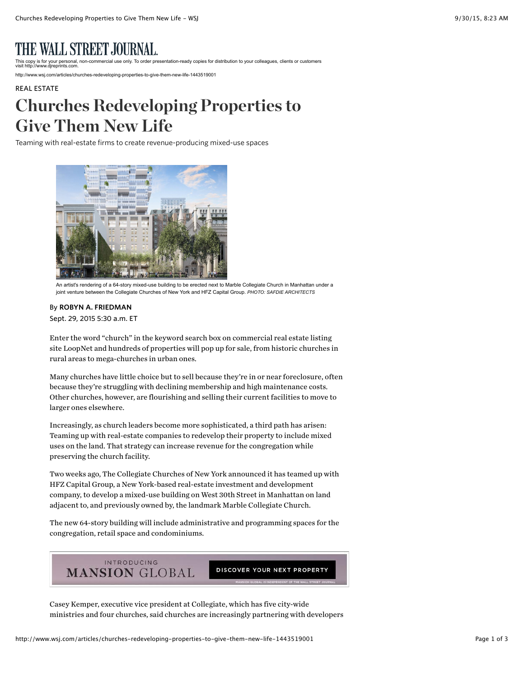## ALL STREET JOURNAL.

nercial use only. To order presentation-ready copies for distribution to your colleagues, clients or customers visit http://www.djreprints.com.

http://www.wsj.com/articles/churches-redeveloping-properties-to-give-them-new-life-1443519001

## [REAL ESTATE](http://www.wsj.com/news/realestate) Churches Redeveloping Properties to Give Them New Life

Teaming with real-estate firms to create revenue-producing mixed-use spaces



An artist's rendering of a 64-story mixed-use building to be erected next to Marble Collegiate Church in Manhattan under a joint venture between the Collegiate Churches of New York and HFZ Capital Group. *PHOTO: SAFDIE ARCHITECTS* 

## By ROBYN A. FRIEDMAN

Sept. 29, 2015 5:30 a.m. ET

Enter the word "church" in the keyword search box on commercial real estate listing site LoopNet and hundreds of properties will pop up for sale, from historic churches in rural areas to mega-churches in urban ones.

Many churches have little choice but to sell because they're in or near foreclosure, often because they're struggling with declining membership and high maintenance costs. Other churches, however, are flourishing and selling their current facilities to move to larger ones elsewhere.

Increasingly, as church leaders become more sophisticated, a third path has arisen: Teaming up with real-estate companies to redevelop their property to include mixed uses on the land. That strategy can increase revenue for the congregation while preserving the church facility.

Two weeks ago, The Collegiate Churches of New York announced it has teamed up with HFZ Capital Group, a New York-based real-estate investment and development company, to develop a mixed-use building on West 30th Street in Manhattan on land adjacent to, and previously owned by, the landmark Marble Collegiate Church.

The new 64-story building will include administrative and programming spaces for the congregation, retail space and condominiums.



DISCOVER YOUR NEXT PROPERTY

Casey Kemper, executive vice president at Collegiate, which has five city-wide ministries and four churches, said churches are increasingly partnering with developers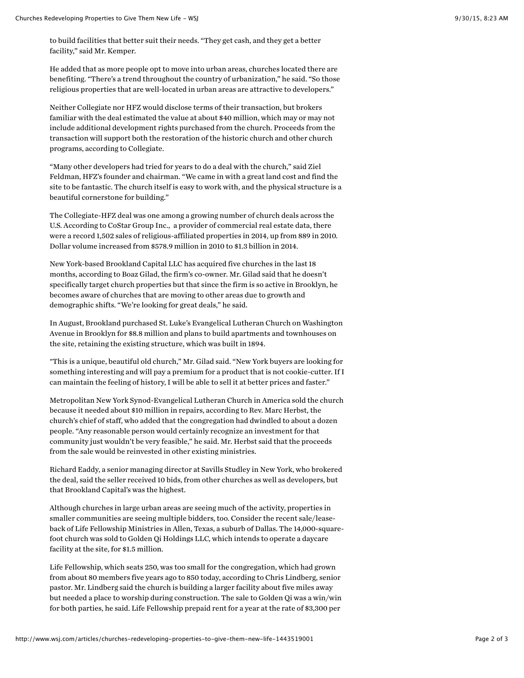to build facilities that better suit their needs. "They get cash, and they get a better facility," said Mr. Kemper.

He added that as more people opt to move into urban areas, churches located there are benefiting. "There's a trend throughout the country of urbanization," he said. "So those religious properties that are well-located in urban areas are attractive to developers."

Neither Collegiate nor HFZ would disclose terms of their transaction, but brokers familiar with the deal estimated the value at about \$40 million, which may or may not include additional development rights purchased from the church. Proceeds from the transaction will support both the restoration of the historic church and other church programs, according to Collegiate.

"Many other developers had tried for years to do a deal with the church," said Ziel Feldman, HFZ's founder and chairman. "We came in with a great land cost and find the site to be fantastic. The church itself is easy to work with, and the physical structure is a beautiful cornerstone for building."

The Collegiate-HFZ deal was one among a growing number of church deals across the U.S. According to [CoStar Group](http://quotes.wsj.com/CSGP) Inc., a provider of commercial real estate data, there were a record 1,502 sales of religious-affiliated properties in 2014, up from 889 in 2010. Dollar volume increased from \$578.9 million in 2010 to \$1.3 billion in 2014.

New York-based Brookland Capital LLC has acquired five churches in the last 18 months, according to Boaz Gilad, the firm's co-owner. Mr. Gilad said that he doesn't specifically target church properties but that since the firm is so active in Brooklyn, he becomes aware of churches that are moving to other areas due to growth and demographic shifts. "We're looking for great deals," he said.

In August, Brookland purchased St. Luke's Evangelical Lutheran Church on Washington Avenue in Brooklyn for \$8.8 million and plans to build apartments and townhouses on the site, retaining the existing structure, which was built in 1894.

"This is a unique, beautiful old church," Mr. Gilad said. "New York buyers are looking for something interesting and will pay a premium for a product that is not cookie-cutter. If I can maintain the feeling of history, I will be able to sell it at better prices and faster."

Metropolitan New York Synod-Evangelical Lutheran Church in America sold the church because it needed about \$10 million in repairs, according to Rev. Marc Herbst, the church's chief of staff, who added that the congregation had dwindled to about a dozen people. "Any reasonable person would certainly recognize an investment for that community just wouldn't be very feasible," he said. Mr. Herbst said that the proceeds from the sale would be reinvested in other existing ministries.

Richard Eaddy, a senior managing director at Savills Studley in New York, who brokered the deal, said the seller received 10 bids, from other churches as well as developers, but that Brookland Capital's was the highest.

Although churches in large urban areas are seeing much of the activity, properties in smaller communities are seeing multiple bidders, too. Consider the recent sale/leaseback of Life Fellowship Ministries in Allen, Texas, a suburb of Dallas. The 14,000-squarefoot church was sold to Golden Qi Holdings LLC, which intends to operate a daycare facility at the site, for \$1.5 million.

Life Fellowship, which seats 250, was too small for the congregation, which had grown from about 80 members five years ago to 850 today, according to Chris Lindberg, senior pastor. Mr. Lindberg said the church is building a larger facility about five miles away but needed a place to worship during construction. The sale to Golden Qi was a win/win for both parties, he said. Life Fellowship prepaid rent for a year at the rate of \$3,300 per